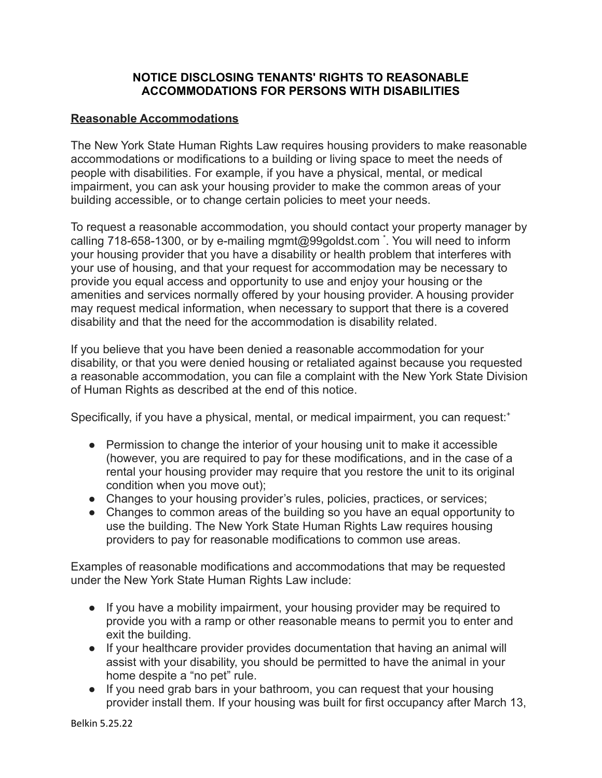## **NOTICE DISCLOSING TENANTS' RIGHTS TO REASONABLE ACCOMMODATIONS FOR PERSONS WITH DISABILITIES**

## **Reasonable Accommodations**

The New York State Human Rights Law requires housing providers to make reasonable accommodations or modifications to a building or living space to meet the needs of people with disabilities. For example, if you have a physical, mental, or medical impairment, you can ask your housing provider to make the common areas of your building accessible, or to change certain policies to meet your needs.

To request a reasonable accommodation, you should contact your property manager by calling 718-658-1300, or by e-mailing mgmt@99goldst.com \* . You will need to inform your housing provider that you have a disability or health problem that interferes with your use of housing, and that your request for accommodation may be necessary to provide you equal access and opportunity to use and enjoy your housing or the amenities and services normally offered by your housing provider. A housing provider may request medical information, when necessary to support that there is a covered disability and that the need for the accommodation is disability related.

If you believe that you have been denied a reasonable accommodation for your disability, or that you were denied housing or retaliated against because you requested a reasonable accommodation, you can file a complaint with the New York State Division of Human Rights as described at the end of this notice.

Specifically, if you have a physical, mental, or medical impairment, you can request:<sup>+</sup>

- Permission to change the interior of your housing unit to make it accessible (however, you are required to pay for these modifications, and in the case of a rental your housing provider may require that you restore the unit to its original condition when you move out);
- Changes to your housing provider's rules, policies, practices, or services;
- Changes to common areas of the building so you have an equal opportunity to use the building. The New York State Human Rights Law requires housing providers to pay for reasonable modifications to common use areas.

Examples of reasonable modifications and accommodations that may be requested under the New York State Human Rights Law include:

- If you have a mobility impairment, your housing provider may be required to provide you with a ramp or other reasonable means to permit you to enter and exit the building.
- If your healthcare provider provides documentation that having an animal will assist with your disability, you should be permitted to have the animal in your home despite a "no pet" rule.
- If you need grab bars in your bathroom, you can request that your housing provider install them. If your housing was built for first occupancy after March 13,